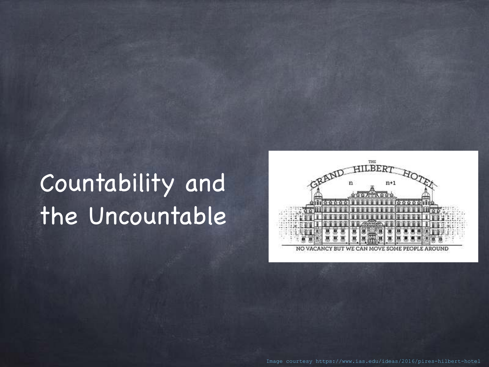#### Countability and the Uncountable



Image courtesy https://www.ias.edu/ideas/2016/pires-hilbert-hotel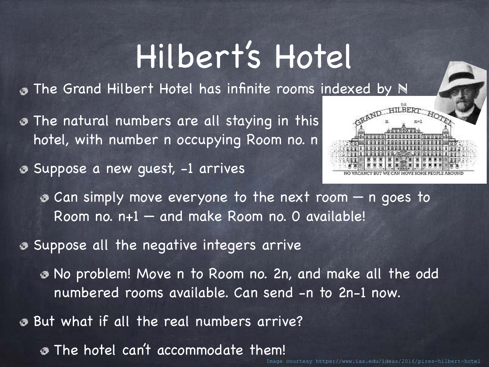## Hilbert's Hotel

**The Grand Hilbert Hotel has infinite rooms indexed by N** 

**The natural numbers are all staying in this** hotel, with number n occupying Room no. n

Suppose a new guest, -1 arrives



Can simply move everyone to the next room — n goes to Room no. n+1 — and make Room no. 0 available!

Suppose all the negative integers arrive

No problem! Move n to Room no. 2n, and make all the odd numbered rooms available. Can send -n to 2n-1 now.

But what if all the real numbers arrive?

The hotel can't accommodate them!

courtesy https://www.ias.edu/ideas/2016/pires-hilbert-hotel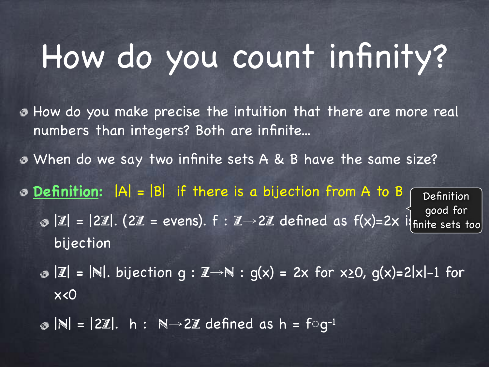# How do you count infinity?

- How do you make precise the intuition that there are more real numbers than integers? Both are infinite...
- **B** When do we say two infinite sets A & B have the same size?
- **Definition:** |A| = |B| if there is a bijection from A to B **Definition** 
	- $\sqrt{z}$  |Z| = |2Z|. (2Z = evens).  $f : \mathbb{Z} \rightarrow 2\mathbb{Z}$  defined as  $f(x) = 2x$  is bijection good for li<sub>finite</sub> sets too
	- $\bullet$   $|\mathbb{Z}| = |\mathbb{N}|$ . bijection g :  $\mathbb{Z} \rightarrow \mathbb{N}$  : g(x) = 2x for x20, g(x)=2|x|-1 for x<0
	- |N| = |2Z|. h : N→2Z defined as h = f**○**g-1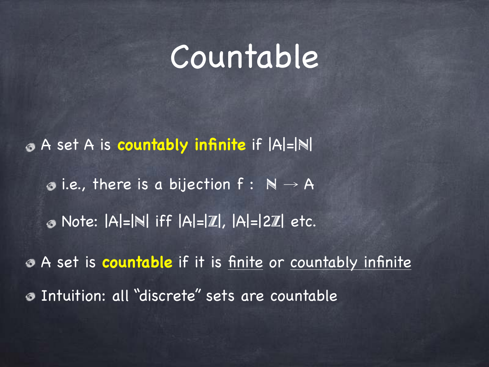#### Countable

A set A is **countably infinite** if |A|=|N|  $\bullet$  i.e., there is a bijection  $f : \mathbb{N} \to A$ Note: |A|=|N| iff |A|=|Z|, |A|=|2Z| etc. A set is **countable** if it is finite or countably infinite Intuition: all "discrete" sets are countable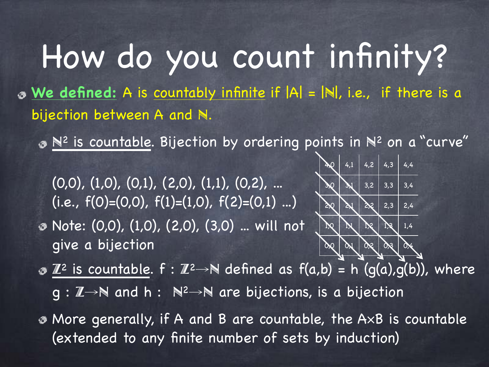How do you count infinity? **We defined:** A is countably infinite if |A| = |N|, i.e., if there is a bijection between A and N.

 $\bullet$   $\mathbb{N}^2$  is countable. Bijection by ordering points in  $\mathbb{N}^2$  on a "curve"

 $(0,0), (1,0), (0,1), (2,0), (1,1), (0,2), ...$ (i.e.,  $f(0)=(0,0)$ ,  $f(1)=(1,0)$ ,  $f(2)=(0,1)$  ...) Note: (0,0), (1,0), (2,0), (3,0) ... will not give a bijection



 $\partial$   $\mathbb{Z}^2$  is countable.  $f : \mathbb{Z}^2 \rightarrow \mathbb{N}$  defined as  $f(a,b) = h(g(a),g(b))$ , where g : Z→N and h : N<sup>2</sup>→N are bijections, is a bijection

More generally, if A and B are countable, the A×B is countable (extended to any finite number of sets by induction)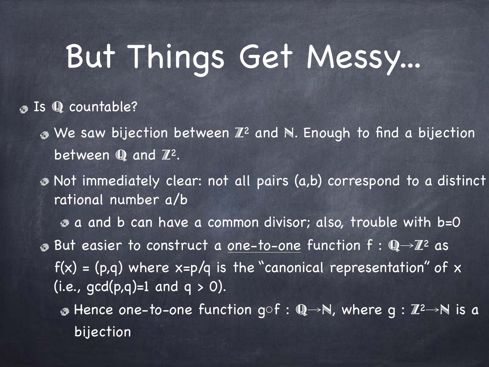# But Things Get Messy...

#### **JS** Q countable?

- $\bullet$  We saw bijection between  $\mathbb{Z}^2$  and N. Enough to find a bijection between  $\mathbb Q$  and  $\mathbb Z^2$ .
- Not immediately clear: not all pairs (a,b) correspond to a distinct rational number a/b

a and b can have a common divisor; also, trouble with b=0 But easier to construct a one-to-one function f : Q→Z2 as  $f(x) = (p,q)$  where  $x=p/q$  is the "canonical representation" of x (i.e.,  $gcd(p,q)=1$  and  $q > 0$ ).

 $\bullet$  Hence one-to-one function g $\circ$ f : Q→N, where g : Z<sup>2</sup>→N is a bijection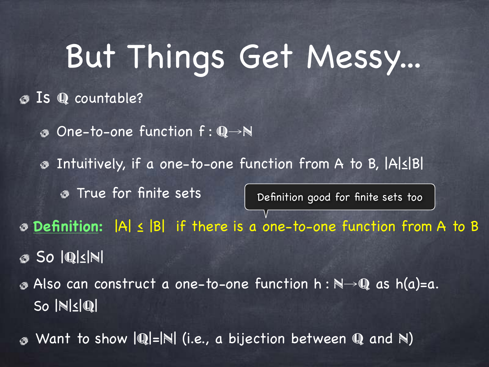# But Things Get Messy...

#### Is Q countable?

One-to-one function f : Q→N

Intuitively, if a one-to-one function from A to B, |A|≤|B|  $\circledcirc$ 

**True for finite sets** 

Definition good for finite sets too

**Definition:** |A| ≤ |B| if there is a one-to-one function from A to B

So |Q|≤|N|

Also can construct a one-to-one function h : N→Q as h(a)=a. So |N|≤|Q|

Want to show  $|{\mathbb{Q}}| = |{\mathbb{N}}|$  (i.e., a bijection between  ${\mathbb{Q}}$  and  ${\mathbb{N}}$ )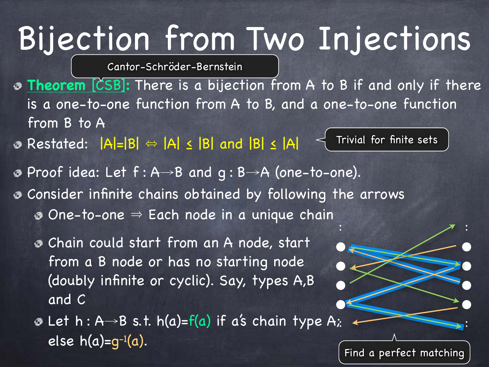# Bijection from Two Injections

Cantor-Schröder-Bernstein

- **Theorem** [CSB]**:** There is a bijection from A to B if and only if there is a one-to-one function from A to B, and a one-to-one function from B to A
- $\odot$  Restated:  $|A|=|B| \Leftrightarrow |A| \le |B|$  and  $|B| \le |A|$

Trivial for finite sets

- Proof idea: Let f : A→B and g : B→A (one-to-one).
- Consider infinite chains obtained by following the arrows
	- $\bullet$  One-to-one  $\Rightarrow$  Each node in a unique chain
	- Chain could start from an A node, start from a B node or has no starting node (doubly infinite or cyclic). Say, types A,B and C
	- $\bullet$  Let h : A→B s.t. h(a)=f(a) if a's chain type A; else  $h(a)=q^{-1}(a)$ . : :

Find a perfect matching

 $\blacksquare$ :

 $\bullet$   $\bullet$ 

 $\bullet$ 

● ●

 $\bullet$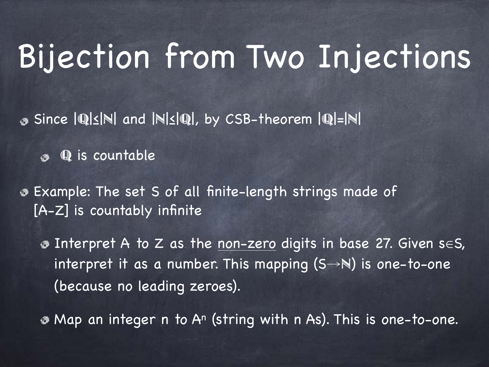### Bijection from Two Injections

Since |Q|≤|N| and |N|≤|Q|, by CSB-theorem |Q|=|N|

Q is countable

Example: The set S of all finite-length strings made of [A-Z] is countably infinite

Interpret A to Z as the non-zero digits in base 27. Given s∈S, interpret it as a number. This mapping  $(S \rightarrow N)$  is one-to-one (because no leading zeroes).

• Map an integer n to A<sup>n</sup> (string with n As). This is one-to-one.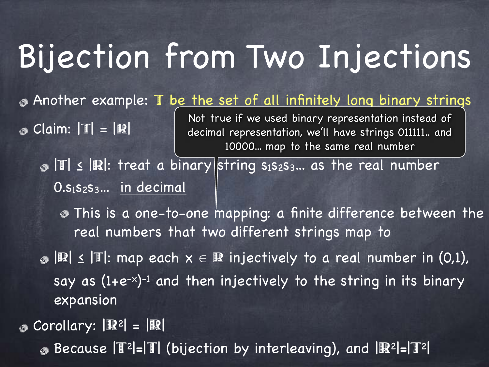## Bijection from Two Injections

Another example: T be the set of all infinitely long binary strings  $\circ$  Claim:  $|T| = |R|$ Not true if we used binary representation instead of decimal representation, we'll have strings 011111.. and

 $\bullet$  T  $\leq$  R: treat a binary string s<sub>1</sub>s<sub>2</sub>s<sub>3</sub>... as the real number  $0.5<sub>1</sub>S<sub>2</sub>S<sub>3</sub>...$  in decimal

This is a one-to-one mapping: a finite difference between the real numbers that two different strings map to

10000... map to the same real number

 $\bullet$   $\mathbb{R}$   $\leq$   $\mathbb{T}$ : map each  $x \in \mathbb{R}$  injectively to a real number in (0,1), say as (1+e-x) -1 and then injectively to the string in its binary expansion

 $\circ$  Corollary:  $|\mathbb{R}^2| = |\mathbb{R}|$ 

Because |T2|=|T| (bijection by interleaving), and |R2|=|T2|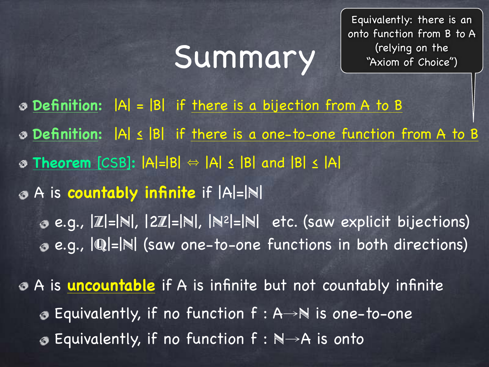### Summary

Equivalently: there is an onto function from B to A (relying on the "Axiom of Choice")

**Definition:** |A| = |B| if there is a bijection from A to B **Definition:** |A| ≤ |B| if there is a one-to-one function from A to B **Theorem** [CSB]**:** |A|=|B| 㱻 |A| ≤ |B| and |B| ≤ |A| A is **countably infinite** if |A|=|N| e.g., |Z|=|N|, |2Z|=|N|, |N2|=|N| etc. (saw explicit bijections) e.g., |Q|=|N| (saw one-to-one functions in both directions) A is **uncountable** if A is infinite but not countably infinite

Equivalently, if no function f : A→N is one-to-one

Equivalently, if no function  $f : \mathbb{N} \rightarrow A$  is onto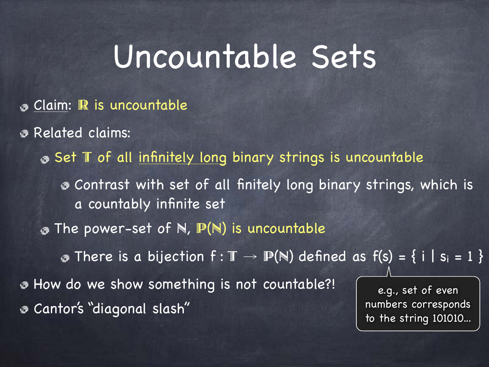#### Uncountable Sets

- **8 Claim: R is uncountable**
- Related claims:
	- Set T of all infinitely long binary strings is uncountable
		- Contrast with set of all finitely long binary strings, which is a countably infinite set
	- $\circ$  The power-set of N,  $\mathbb{P}(\mathbb{N})$  is uncountable

**There is a bijection f:**  $\mathbb{T} \to \mathbb{P}(\mathbb{N})$  defined as  $f(s) = \{ i | s_i = 1 \}$ 

How do we show something is not countable?! Cantor's "diagonal slash"

e.g., set of even numbers corresponds to the string 101010...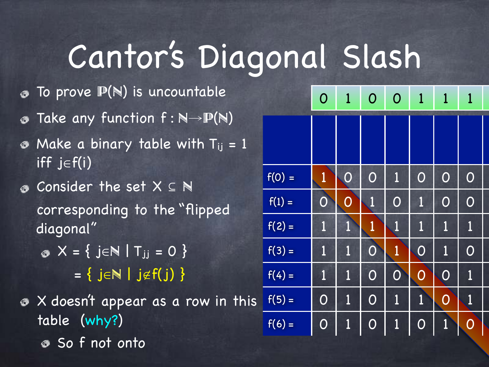# Cantor's Diagonal Slash

- To prove  $\mathbb{P}(\mathbb{N})$  is uncountable
- Take any function  $f : \mathbb{N} {\rightarrow} \mathbb{P}(\mathbb{N})$
- Make a binary table with  $T_{ij} = 1$ ◉ iff j∈f(i)
- Consider the set X ⊆ N corresponding to the "flipped diagonal"

 $\bullet X = \{ j \in \mathbb{N} \mid T_{jj} = 0 \}$  $= \{ j \in \mathbb{N} \mid j \notin f(j) \}$ 

 $\bullet$  X doesn't appear as a row in this table (why?) So f not onto

|          | $\mathbf{O}$          | $\mathbf{1}$          | $\overline{O}$ | $\overline{O}$ | $\mathbf{1}$   | $\mathbf{1}$   | $\mathbf 1$           |
|----------|-----------------------|-----------------------|----------------|----------------|----------------|----------------|-----------------------|
|          |                       |                       |                |                |                |                |                       |
| $f(0) =$ | $\mathbf{1}$          | $\overline{\text{O}}$ | $\overline{O}$ | $\mathbf 1$    | $\overline{O}$ | $\overline{O}$ | $\overline{O}$        |
| $f(1) =$ | $\overline{O}$        | $\overline{O}$        | $\mathbf{1}$   | $\mathbf{O}$   | $\mathbf{1}$   | $\overline{O}$ | $\overline{O}$        |
| $f(2) =$ | $\mathbf 1$           | $\mathbf{1}$          | $\mathbf{1}$   | 1              | $\mathbf 1$    | 1              | $\mathbf{1}$          |
| $f(3) =$ | $\mathbf 1$           | $\mathbf{1}$          | $\overline{O}$ | $\mathbf{1}$   | $\overline{O}$ | 1              | $\overline{O}$        |
| $f(4) =$ | $\overline{1}$        | 1                     | $\overline{O}$ | $\overline{O}$ | $\overline{O}$ | $\overline{O}$ | $\mathbf{1}$          |
| $f(5) =$ | $\overline{O}$        | $\mathbf{1}$          | $\overline{O}$ | $\overline{1}$ | $\overline{1}$ | $\overline{O}$ | $\mathbf{1}$          |
| $f(6) =$ | $\overline{\text{O}}$ | 1                     | O              | $\mathbf{1}$   | $\overline{O}$ | 1              | $\overline{\text{O}}$ |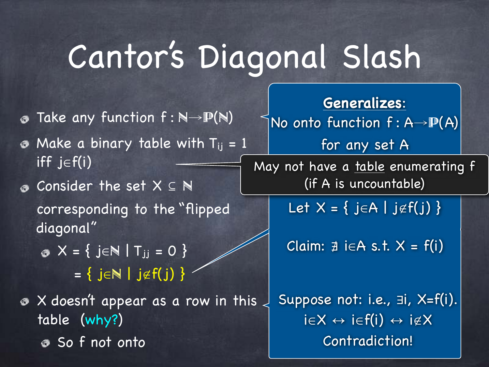# Cantor's Diagonal Slash

- **Take any function**  $f : \mathbb{N} \rightarrow \mathbb{P}(\mathbb{N})$
- $\bullet$  Make a binary table with T<sub>ij</sub> = 1 iff j $\in$ f(i)
- Consider the set X ⊆ N corresponding to the "flipped diagonal"
	- $\bullet X = \{ j \in \mathbb{N} \mid T_{jj} = 0 \}$  $= \{ j \in \mathbb{N} \mid j \notin f(j) \}$
- $\bullet$  X doesn't appear as a row in this  $\downarrow$ table (why?) So f not onto

**Generalizes**: No onto function f : A→P(A)

May not have a table enumerating f (if A is uncountable)

for any set A

Let  $X = \{ j \in A \mid j \notin f(j) \}$ 

Claim:  $\exists$  i∈A s.t.  $X = f(i)$ 

Suppose not: i.e., ∃i, X=f(i).  $i \in X \leftrightarrow i \in f(i) \leftrightarrow i \notin X$ Contradiction!